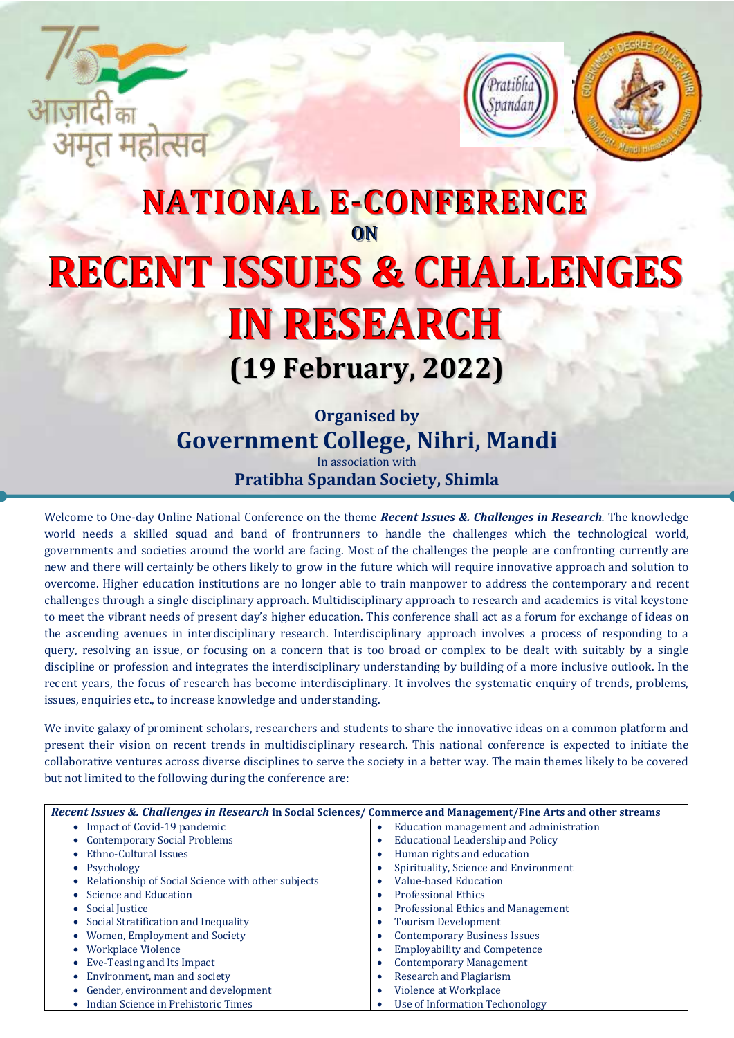



# **NATIONAL E-CONFERENCE** ON **RECENT ISSUES & CHALLENGES IN RESEARCH (19 February, 2022)**

**Organised by Government College, Nihri, Mandi**

In association with **Pratibha Spandan Society, Shimla** 

Welcome to One-day Online National Conference on the theme *Recent Issues &. Challenges in Research.* The knowledge world needs a skilled squad and band of frontrunners to handle the challenges which the technological world, governments and societies around the world are facing. Most of the challenges the people are confronting currently are new and there will certainly be others likely to grow in the future which will require innovative approach and solution to overcome. Higher education institutions are no longer able to train manpower to address the contemporary and recent challenges through a single disciplinary approach. Multidisciplinary approach to research and academics is vital keystone to meet the vibrant needs of present day's higher education. This conference shall act as a forum for exchange of ideas on the ascending avenues in interdisciplinary research. Interdisciplinary approach involves a process of responding to a query, resolving an issue, or focusing on a concern that is too broad or complex to be dealt with suitably by a single discipline or profession and integrates the interdisciplinary understanding by building of a more inclusive outlook. In the recent years, the focus of research has become interdisciplinary. It involves the systematic enquiry of trends, problems, issues, enquiries etc., to increase knowledge and understanding.

We invite galaxy of prominent scholars, researchers and students to share the innovative ideas on a common platform and present their vision on recent trends in multidisciplinary research. This national conference is expected to initiate the collaborative ventures across diverse disciplines to serve the society in a better way. The main themes likely to be covered but not limited to the following during the conference are:

| Recent Issues &. Challenges in Research in Social Sciences/ Commerce and Management/Fine Arts and other streams |                                              |  |  |  |
|-----------------------------------------------------------------------------------------------------------------|----------------------------------------------|--|--|--|
| • Impact of Covid-19 pandemic                                                                                   | Education management and administration<br>۰ |  |  |  |
| <b>Contemporary Social Problems</b><br>$\bullet$                                                                | Educational Leadership and Policy            |  |  |  |
| Ethno-Cultural Issues<br>$\bullet$                                                                              | Human rights and education                   |  |  |  |
| • Psychology                                                                                                    | Spirituality, Science and Environment        |  |  |  |
| Relationship of Social Science with other subjects<br>$\bullet$                                                 | Value-based Education                        |  |  |  |
| Science and Education<br>۰                                                                                      | <b>Professional Ethics</b>                   |  |  |  |
| Social Justice<br>$\bullet$                                                                                     | <b>Professional Ethics and Management</b>    |  |  |  |
| Social Stratification and Inequality<br>$\bullet$                                                               | <b>Tourism Development</b>                   |  |  |  |
| Women, Employment and Society<br>$\bullet$                                                                      | <b>Contemporary Business Issues</b>          |  |  |  |
| <b>Workplace Violence</b><br>$\bullet$                                                                          | <b>Employability and Competence</b>          |  |  |  |
| Eve-Teasing and Its Impact<br>$\bullet$                                                                         | <b>Contemporary Management</b>               |  |  |  |
| Environment, man and society<br>$\bullet$                                                                       | Research and Plagiarism                      |  |  |  |
| Gender, environment and development<br>$\bullet$                                                                | Violence at Workplace                        |  |  |  |
| Indian Science in Prehistoric Times<br>$\bullet$                                                                | Use of Information Techonology               |  |  |  |